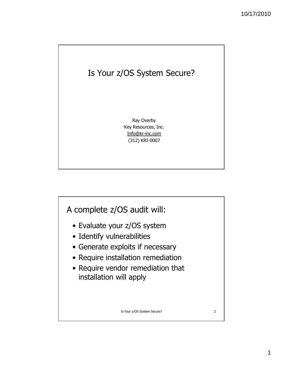

Ray Overby Key Resources, Inc. Info@kr-inc.com (312) KRI-0007

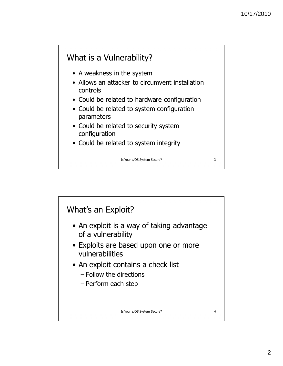## What is a Vulnerability?

- A weakness in the system
- Allows an attacker to circumvent installation controls
- Could be related to hardware configuration
- Could be related to system configuration parameters
- Could be related to security system configuration
- Could be related to system integrity

Is Your z/OS System Secure? 3

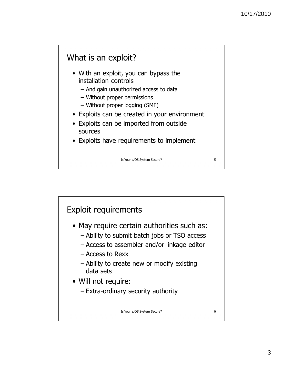### What is an exploit?

- With an exploit, you can bypass the installation controls
	- And gain unauthorized access to data
	- Without proper permissions
	- Without proper logging (SMF)
- Exploits can be created in your environment
- Exploits can be imported from outside sources
- Exploits have requirements to implement

Is Your z/OS System Secure? 5

Exploit requirements • May require certain authorities such as: – Ability to submit batch jobs or TSO access – Access to assembler and/or linkage editor – Access to Rexx – Ability to create new or modify existing data sets • Will not require: – Extra-ordinary security authority Is Your z/OS System Secure? 6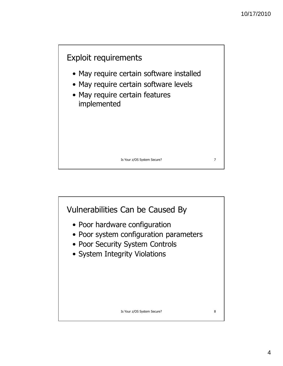

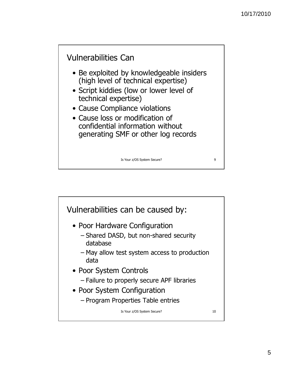

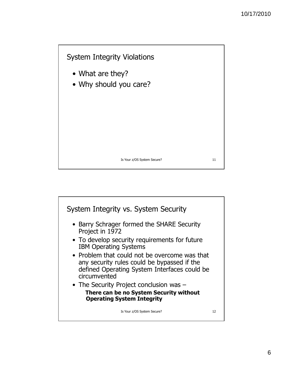

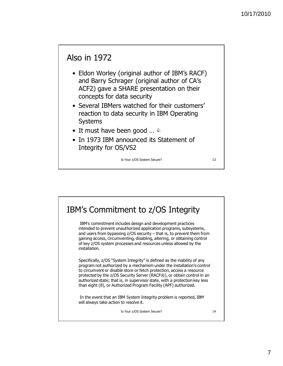### Also in 1972

- Eldon Worley (original author of IBM's RACF) and Barry Schrager (original author of CA's ACF2) gave a SHARE presentation on their concepts for data security
- Several IBMers watched for their customers' reaction to data security in IBM Operating Systems
- It must have been good ...  $\Diamond$
- In 1973 IBM announced its Statement of Integrity for OS/VS2

Is Your z/OS System Secure? 13

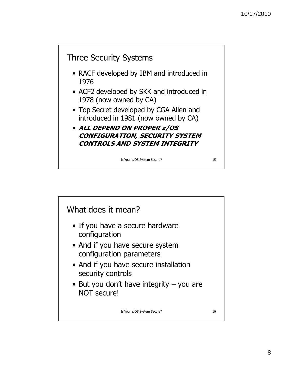

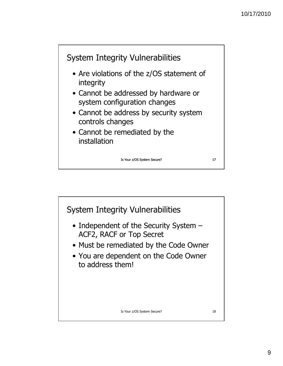

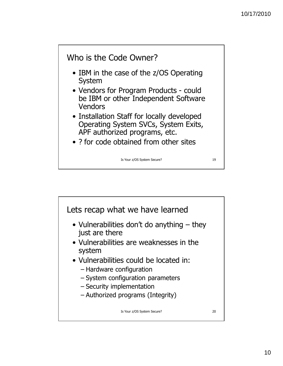

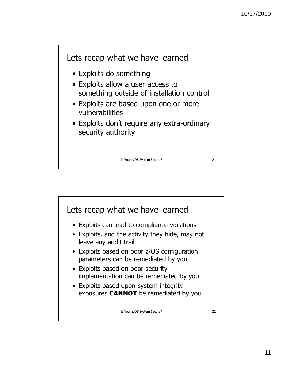

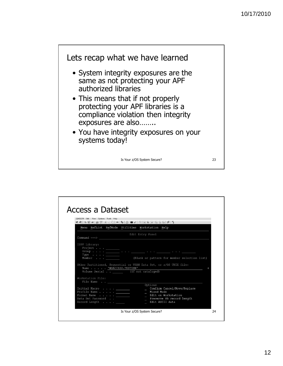

| QWS3270 Edit View Options Tools Help            |                                                                                                                                                                                                                                                                                                                                                               |  |
|-------------------------------------------------|---------------------------------------------------------------------------------------------------------------------------------------------------------------------------------------------------------------------------------------------------------------------------------------------------------------------------------------------------------------|--|
| Menu RefList RefMode Utilities Workstation Help |                                                                                                                                                                                                                                                                                                                                                               |  |
| $Common and == >$                               | Edit Entry Panel                                                                                                                                                                                                                                                                                                                                              |  |
| $Project \t.$<br>Name 'NOACCESS.TESTDSN'        | Group $\cdots$ . $\cdots$ $\cdots$ $\cdots$ $\cdots$ $\cdots$ $\cdots$ $\cdots$ $\cdots$ $\cdots$ $\cdots$ $\cdots$<br>Type <u>- (Blank</u> or pattern for member selection list)<br>Member <u>- (Blank</u> or pattern for member selection list)<br>Other Partitioned, Sequential or VSAM Data Set, or z/OS UNIX file:<br>Volume Serial . (If not cataloged) |  |
| Workstation File:<br>File Name                  |                                                                                                                                                                                                                                                                                                                                                               |  |
| Profile Name $\cdots$                           | Options<br>Confirm Cancel/Move/Replace<br>_ Mixed Mode<br>Edit on Workstation<br>- Preserve VB record length<br>Format Name <u>______</u>                                                                                                                                                                                                                     |  |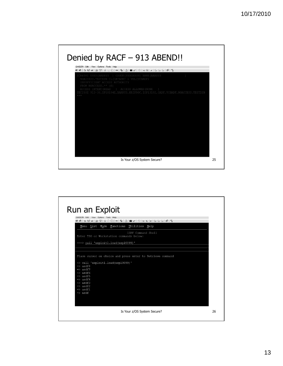

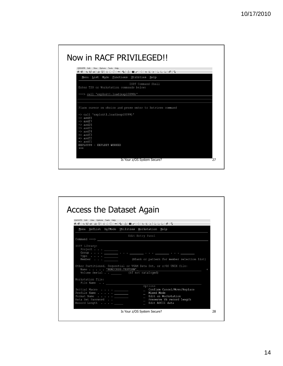| Menu List Mode Functions Utilities Help<br>ISPF Command Shell<br>Enter TSO or Workstation commands below:                                                                                                                                                                                          |
|----------------------------------------------------------------------------------------------------------------------------------------------------------------------------------------------------------------------------------------------------------------------------------------------------|
|                                                                                                                                                                                                                                                                                                    |
|                                                                                                                                                                                                                                                                                                    |
| ===> call 'exploit1.load(expl0099)'                                                                                                                                                                                                                                                                |
|                                                                                                                                                                                                                                                                                                    |
| Place cursor on choice and press enter to Retrieve command<br>$\Rightarrow$ call 'exploit1.load(expl0099)'<br>$\Rightarrow$ asdf8<br>$\Rightarrow$ asdf7<br>$\Rightarrow$ asdf6<br>$\Rightarrow$ asdf5<br>$\Rightarrow$ asdf4<br>$\Rightarrow$ asdf3<br>$\Rightarrow$ asdf2<br>$\Rightarrow$ asdfl |

| Access the Dataset Again                                                                                                                                                                                                                                                                                                                                                                                                                                                                                                                                                                                                                                                                                                                                 |                                                                                                                                                                                                                              |  |
|----------------------------------------------------------------------------------------------------------------------------------------------------------------------------------------------------------------------------------------------------------------------------------------------------------------------------------------------------------------------------------------------------------------------------------------------------------------------------------------------------------------------------------------------------------------------------------------------------------------------------------------------------------------------------------------------------------------------------------------------------------|------------------------------------------------------------------------------------------------------------------------------------------------------------------------------------------------------------------------------|--|
| QWS3270 Edit View Options Tools Help<br>$\textcolor{red}{\bullet}\ \textcolor{red}{\bullet}\ \textcolor{red}{\bullet}\ \textcolor{red}{\bullet}\ \textcolor{red}{\bullet}\ \textcolor{red}{\bullet}\ \textcolor{red}{\bullet}\ \textcolor{red}{\bullet}\ \textcolor{red}{\bullet}\ \textcolor{red}{\bullet}\ \textcolor{red}{\bullet}\ \textcolor{red}{\bullet}\ \textcolor{red}{\bullet}\ \textcolor{red}{\bullet}\ \textcolor{red}{\bullet}\ \textcolor{red}{\bullet}\ \textcolor{red}{\bullet}\ \textcolor{red}{\bullet}\ \textcolor{red}{\bullet}\ \textcolor{red}{\bullet}\ \textcolor{red}{\bullet}\ \textcolor{red}{\bullet}\ \textcolor{red}{\bullet}\ \textcolor{red}{\bullet}\ \textcolor{$<br>Menu RefList RefMode Utilities Workstation Help |                                                                                                                                                                                                                              |  |
|                                                                                                                                                                                                                                                                                                                                                                                                                                                                                                                                                                                                                                                                                                                                                          |                                                                                                                                                                                                                              |  |
| Name NOACCESS.TESTDSN'_                                                                                                                                                                                                                                                                                                                                                                                                                                                                                                                                                                                                                                                                                                                                  | Group $\ldots$ . $\_\_$ $\_\_$ $\_\_$ $\_\_$ $\_\_$ $\_\_$ $\_\_$ $\_\_$ $\_\_$ $\_\_$ $\_\_$ $\_\_$ $\_\_$<br>Other Partitioned, Sequential or VSAM Data Set, or z/OS UNIX file:<br>Volume Serial ______ (If not cataloged) |  |
| Workstation File:<br>File Name                                                                                                                                                                                                                                                                                                                                                                                                                                                                                                                                                                                                                                                                                                                           |                                                                                                                                                                                                                              |  |
| Profile Name $\cdots$ $\cdots$<br>Data Set Password<br>Record Length _____                                                                                                                                                                                                                                                                                                                                                                                                                                                                                                                                                                                                                                                                               | Options<br>Confirm Cancel/Move/Replace<br>$\overline{\phantom{0}}$<br>_ Mixed Mode<br>_ Edit on Workstation<br>Preserve VB record length<br>Edit ASCII data                                                                  |  |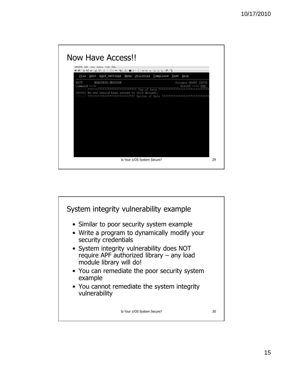

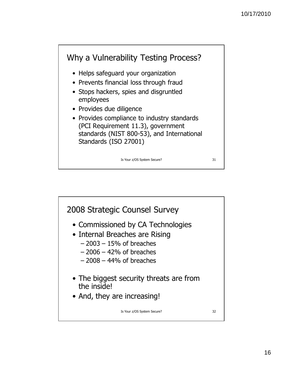

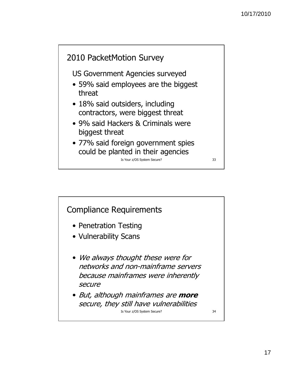

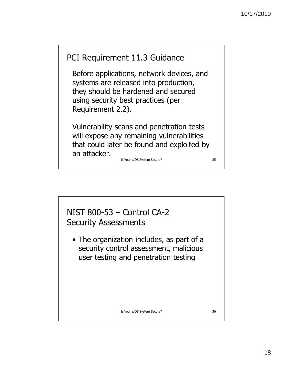

Before applications, network devices, and systems are released into production, they should be hardened and secured using security best practices (per Requirement 2.2).

Vulnerability scans and penetration tests will expose any remaining vulnerabilities that could later be found and exploited by an attacker. Is Your z/OS System Secure? 35

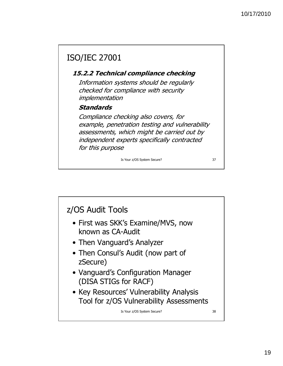# ISO/IEC 27001

#### 15.2.2 Technical compliance checking

Information systems should be regularly checked for compliance with security implementation

#### Standards

Compliance checking also covers, for example, penetration testing and vulnerability assessments, which might be carried out by independent experts specifically contracted for this purpose

Is Your z/OS System Secure? 37

z/OS Audit Tools • First was SKK's Examine/MVS, now known as CA-Audit • Then Vanguard's Analyzer • Then Consul's Audit (now part of zSecure) • Vanguard's Configuration Manager (DISA STIGs for RACF) • Key Resources' Vulnerability Analysis Tool for z/OS Vulnerability Assessments Is Your z/OS System Secure? 38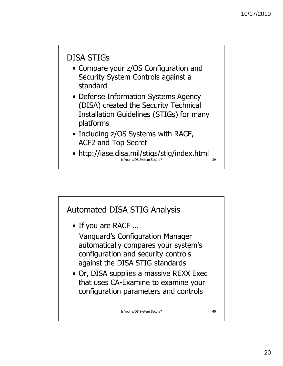# DISA STIGs

- Compare your z/OS Configuration and Security System Controls against a standard
- Defense Information Systems Agency (DISA) created the Security Technical Installation Guidelines (STIGs) for many platforms
- Including z/OS Systems with RACF, ACF2 and Top Secret
- http://iase.disa.mil/stigs/stig/index.html Is Your z/OS System Secure? 39

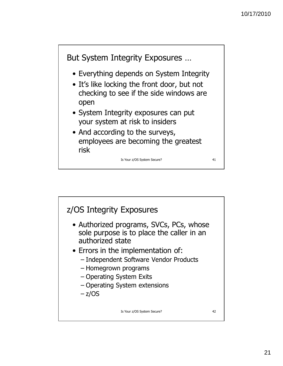

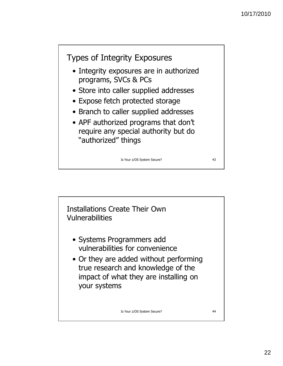

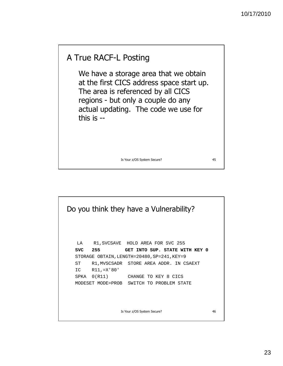## A True RACF-L Posting

We have a storage area that we obtain at the first CICS address space start up. The area is referenced by all CICS regions - but only a couple do any actual updating. The code we use for this is --

Is Your z/OS System Secure? 45

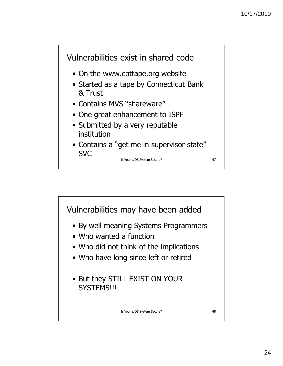

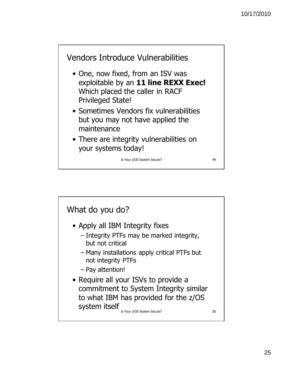

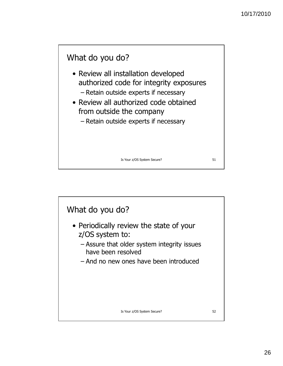